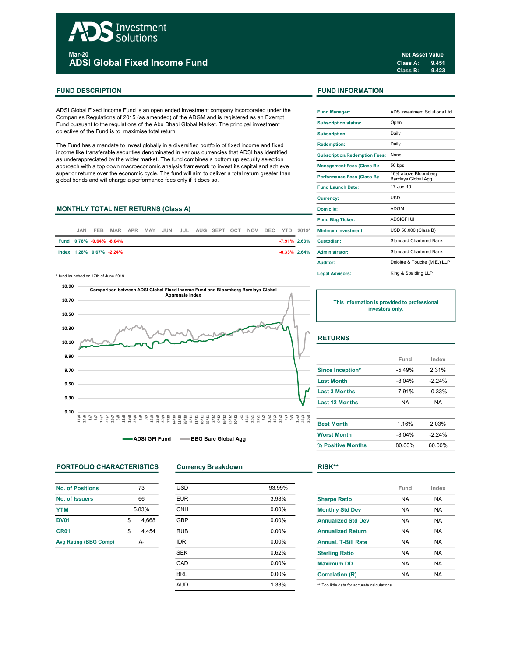# Investment Solutions Mar-20 ADSI Global Fixed Income Fund

# FUND DESCRIPTION FUND INFORMATION

ADSI Global Fixed Income Fund is an open ended investment company incorporated under the Companies Regulations of 2015 (as amended) of the ADGM and is registered as an Exempt Fund pursuant to the regulations of the Abu Dhabi Global Market. The principal investment objective of the Fund is to maximise total return.

The Fund has a mandate to invest globally in a diversified portfolio of fixed income and fixed income like transferable securities denominated in various currencies that ADSI has identified as underappreciated by the wider market. The fund combines a bottom up security selection approach with a top down macroeconomic analysis framework to invest its capital and achieve superior returns over the economic cycle. The fund will aim to deliver a total return greater than global bonds and will charge a performance fees only if it does so.

# MONTHLY TOTAL NET RETURNS (Class A)

| .IAN | FEB. |                          |  |  |  |  |  | MAR APR MAY JUN JUL AUG SEPT OCT NOV DEC YTD 2019* | <b>Minimum Investment:</b>         |
|------|------|--------------------------|--|--|--|--|--|----------------------------------------------------|------------------------------------|
|      |      | Fund 0.78% -0.64% -8.04% |  |  |  |  |  | $-7.91\%$ 2.63%                                    | Custodian:                         |
|      |      | lndex 1.28% 0.67% -2.24% |  |  |  |  |  |                                                    | <b>-0.33% 2.64% Administrator:</b> |

\* fund launched on 17th of June 2019



-ADSI GFI Fund -- BBG Barc Global Agg

# PORTFOLIO CHARACTERISTICS Currency Breakdown RISK\*\*

| 73          |
|-------------|
| 66          |
| 5.83%       |
| \$<br>4.668 |
| \$<br>4,454 |
| А.          |
|             |

| <b>USD</b> | 93.99%   |
|------------|----------|
| <b>EUR</b> | 3.98%    |
| <b>CNH</b> | $0.00\%$ |
| <b>GBP</b> | $0.00\%$ |
| <b>RUB</b> | 0.00%    |
| <b>IDR</b> | 0.00%    |
| <b>SEK</b> | 0.62%    |
| CAD        | 0.00%    |
| <b>BRL</b> | 0.00%    |
| <b>AUD</b> | 1.33%    |
|            |          |

| <b>Fund Manager:</b>                 | ADS Investment Solutions Ltd.                     |
|--------------------------------------|---------------------------------------------------|
| <b>Subscription status:</b>          | Open                                              |
| <b>Subscription:</b>                 | Daily                                             |
| <b>Redemption:</b>                   | Daily                                             |
| <b>Subscription/Redemption Fees:</b> | None                                              |
| <b>Management Fees (Class B):</b>    | 50 bps                                            |
| <b>Performance Fees (Class B):</b>   | 10% above Bloomberg<br><b>Barclays Global Agg</b> |
| <b>Fund Launch Date:</b>             | 17-Jun-19                                         |
| Currency:                            | <b>USD</b>                                        |
| Domicile:                            | <b>ADGM</b>                                       |
| <b>Fund Bbg Ticker:</b>              | <b>ADSIGFLUH</b>                                  |
| Minimum Investment:                  | USD 50,000 (Class B)                              |
| Custodian:                           | Standard Chartered Bank                           |
| Administrator:                       | <b>Standard Chartered Bank</b>                    |
| Auditor:                             | Deloitte & Touche (M.E.) LLP                      |
| <b>Legal Advisors:</b>               | King & Spalding LLP                               |

This information is provided to professional investors only.

# **RETURNS**

|                       | Fund      | Index    |
|-----------------------|-----------|----------|
| Since Inception*      | $-5.49%$  | 2.31%    |
| <b>Last Month</b>     | $-8.04\%$ | $-224%$  |
| <b>Last 3 Months</b>  | $-791%$   | $-0.33%$ |
| <b>Last 12 Months</b> | NA        | NA       |

| <b>Best Month</b>  | 1 16%     | 2.03%   |
|--------------------|-----------|---------|
| <b>Worst Month</b> | $-8.04\%$ | $-224%$ |
| % Positive Months  | 80.00%    | 60.00%  |

|                            | Fund      | Index |
|----------------------------|-----------|-------|
| <b>Sharpe Ratio</b>        | <b>NA</b> | NA    |
| <b>Monthly Std Dev</b>     | <b>NA</b> | NA.   |
| <b>Annualized Std Dev</b>  | <b>NA</b> | NA    |
| <b>Annualized Return</b>   | <b>NA</b> | NA.   |
| <b>Annual, T-Bill Rate</b> | <b>NA</b> | NA.   |
| <b>Sterling Ratio</b>      | <b>NA</b> | NA    |
| <b>Maximum DD</b>          | <b>NA</b> | NA    |
| <b>Correlation (R)</b>     | <b>NA</b> | NA    |
|                            |           |       |

\*\* Too little data for accurate calculations

Class A: 9.451 Class B: 9.423 Net Asset Value